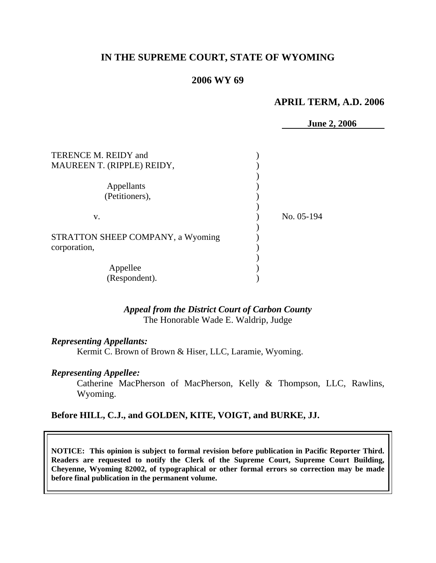## **IN THE SUPREME COURT, STATE OF WYOMING**

### **2006 WY 69**

### **APRIL TERM, A.D. 2006**

**June 2, 2006** 

| TERENCE M. REIDY and<br>MAUREEN T. (RIPPLE) REIDY, |            |
|----------------------------------------------------|------------|
| Appellants<br>(Petitioners),                       |            |
| v.                                                 | No. 05-194 |
| STRATTON SHEEP COMPANY, a Wyoming<br>corporation,  |            |
| Appellee                                           |            |
| (Respondent).                                      |            |

### *Appeal from the District Court of Carbon County* The Honorable Wade E. Waldrip, Judge

#### *Representing Appellants:*

Kermit C. Brown of Brown & Hiser, LLC, Laramie, Wyoming.

#### *Representing Appellee:*

 Catherine MacPherson of MacPherson, Kelly & Thompson, LLC, Rawlins, Wyoming.

### **Before HILL, C.J., and GOLDEN, KITE, VOIGT, and BURKE, JJ.**

**NOTICE: This opinion is subject to formal revision before publication in Pacific Reporter Third. Readers are requested to notify the Clerk of the Supreme Court, Supreme Court Building, Cheyenne, Wyoming 82002, of typographical or other formal errors so correction may be made before final publication in the permanent volume.**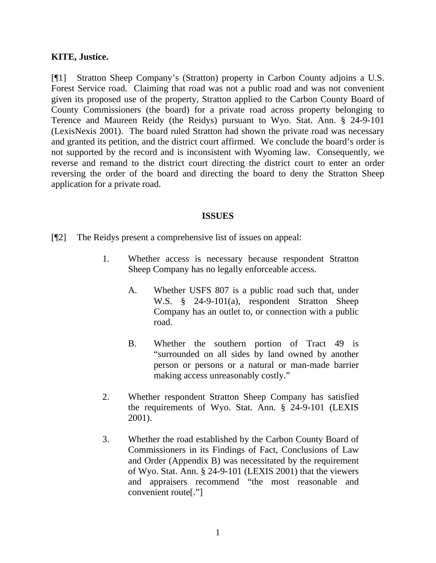#### **KITE, Justice.**

[¶1] Stratton Sheep Company's (Stratton) property in Carbon County adjoins a U.S. Forest Service road. Claiming that road was not a public road and was not convenient given its proposed use of the property, Stratton applied to the Carbon County Board of County Commissioners (the board) for a private road across property belonging to Terence and Maureen Reidy (the Reidys) pursuant to Wyo. Stat. Ann. § 24-9-101 (LexisNexis 2001). The board ruled Stratton had shown the private road was necessary and granted its petition, and the district court affirmed. We conclude the board's order is not supported by the record and is inconsistent with Wyoming law. Consequently, we reverse and remand to the district court directing the district court to enter an order reversing the order of the board and directing the board to deny the Stratton Sheep application for a private road.

#### **ISSUES**

- [¶2] The Reidys present a comprehensive list of issues on appeal:
	- 1. Whether access is necessary because respondent Stratton Sheep Company has no legally enforceable access.
		- A. Whether USFS 807 is a public road such that, under W.S. § 24-9-101(a), respondent Stratton Sheep Company has an outlet to, or connection with a public road.
		- B. Whether the southern portion of Tract 49 is "surrounded on all sides by land owned by another person or persons or a natural or man-made barrier making access unreasonably costly."
	- 2. Whether respondent Stratton Sheep Company has satisfied the requirements of Wyo. Stat. Ann. § 24-9-101 (LEXIS 2001).
	- 3. Whether the road established by the Carbon County Board of Commissioners in its Findings of Fact, Conclusions of Law and Order (Appendix B) was necessitated by the requirement of Wyo. Stat. Ann. § 24-9-101 (LEXIS 2001) that the viewers and appraisers recommend "the most reasonable and convenient route[."]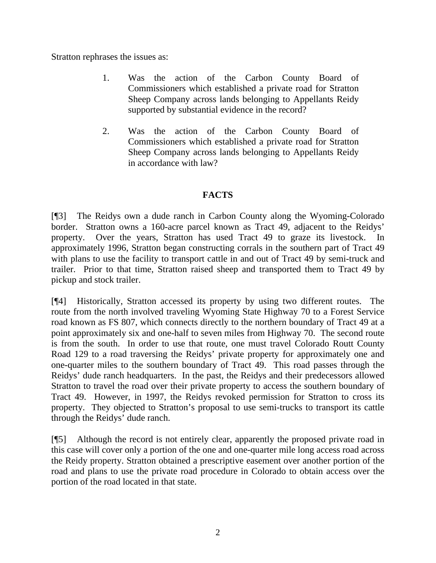Stratton rephrases the issues as:

- 1. Was the action of the Carbon County Board of Commissioners which established a private road for Stratton Sheep Company across lands belonging to Appellants Reidy supported by substantial evidence in the record?
- 2. Was the action of the Carbon County Board of Commissioners which established a private road for Stratton Sheep Company across lands belonging to Appellants Reidy in accordance with law?

# **FACTS**

[¶3] The Reidys own a dude ranch in Carbon County along the Wyoming-Colorado border. Stratton owns a 160-acre parcel known as Tract 49, adjacent to the Reidys' property. Over the years, Stratton has used Tract 49 to graze its livestock. In approximately 1996, Stratton began constructing corrals in the southern part of Tract 49 with plans to use the facility to transport cattle in and out of Tract 49 by semi-truck and trailer. Prior to that time, Stratton raised sheep and transported them to Tract 49 by pickup and stock trailer.

[¶4] Historically, Stratton accessed its property by using two different routes. The route from the north involved traveling Wyoming State Highway 70 to a Forest Service road known as FS 807, which connects directly to the northern boundary of Tract 49 at a point approximately six and one-half to seven miles from Highway 70. The second route is from the south. In order to use that route, one must travel Colorado Routt County Road 129 to a road traversing the Reidys' private property for approximately one and one-quarter miles to the southern boundary of Tract 49. This road passes through the Reidys' dude ranch headquarters. In the past, the Reidys and their predecessors allowed Stratton to travel the road over their private property to access the southern boundary of Tract 49. However, in 1997, the Reidys revoked permission for Stratton to cross its property. They objected to Stratton's proposal to use semi-trucks to transport its cattle through the Reidys' dude ranch.

[¶5] Although the record is not entirely clear, apparently the proposed private road in this case will cover only a portion of the one and one-quarter mile long access road across the Reidy property. Stratton obtained a prescriptive easement over another portion of the road and plans to use the private road procedure in Colorado to obtain access over the portion of the road located in that state.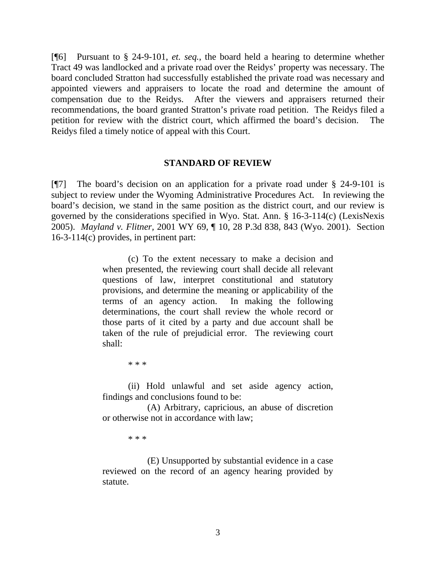[¶6] Pursuant to § 24-9-101, *et. seq.*, the board held a hearing to determine whether Tract 49 was landlocked and a private road over the Reidys' property was necessary. The board concluded Stratton had successfully established the private road was necessary and appointed viewers and appraisers to locate the road and determine the amount of compensation due to the Reidys. After the viewers and appraisers returned their recommendations, the board granted Stratton's private road petition. The Reidys filed a petition for review with the district court, which affirmed the board's decision. The Reidys filed a timely notice of appeal with this Court.

#### **STANDARD OF REVIEW**

[¶7] The board's decision on an application for a private road under § 24-9-101 is subject to review under the Wyoming Administrative Procedures Act. In reviewing the board's decision, we stand in the same position as the district court, and our review is governed by the considerations specified in Wyo. Stat. Ann. § 16-3-114(c) (LexisNexis 2005). *Mayland v. Flitner,* 2001 WY 69, ¶ 10, 28 P.3d 838, 843 (Wyo. 2001). Section 16-3-114(c) provides, in pertinent part:

> (c) To the extent necessary to make a decision and when presented, the reviewing court shall decide all relevant questions of law, interpret constitutional and statutory provisions, and determine the meaning or applicability of the terms of an agency action. In making the following determinations, the court shall review the whole record or those parts of it cited by a party and due account shall be taken of the rule of prejudicial error. The reviewing court shall:

> > \* \* \*

 (ii) Hold unlawful and set aside agency action, findings and conclusions found to be:

(A) Arbitrary, capricious, an abuse of discretion or otherwise not in accordance with law;

\* \* \*

(E) Unsupported by substantial evidence in a case reviewed on the record of an agency hearing provided by statute.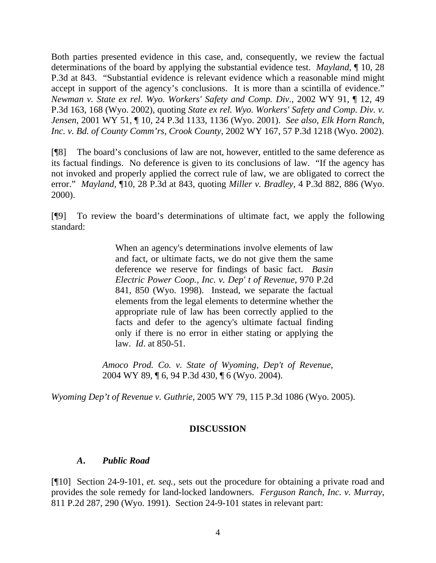Both parties presented evidence in this case, and, consequently, we review the factual determinations of the board by applying the substantial evidence test. *Mayland,* ¶ 10, 28 P.3d at 843. "Substantial evidence is relevant evidence which a reasonable mind might accept in support of the agency's conclusions. It is more than a scintilla of evidence." *Newman v. State ex rel. Wyo. Workers' Safety and Comp. Div.*, 2002 WY 91, ¶ 12, 49 P.3d 163, 168 (Wyo. 2002), quoting *State ex rel. Wyo. Workers' Safety and Comp. Div. v. Jensen*, 2001 WY 51, ¶ 10, 24 P.3d 1133, 1136 (Wyo. 2001). *See also*, *Elk Horn Ranch, Inc. v. Bd. of County Comm'rs, Crook County,* 2002 WY 167, 57 P.3d 1218 (Wyo. 2002).

[¶8] The board's conclusions of law are not, however, entitled to the same deference as its factual findings. No deference is given to its conclusions of law. "If the agency has not invoked and properly applied the correct rule of law, we are obligated to correct the error." *Mayland,* ¶10, 28 P.3d at 843, quoting *Miller v. Bradley*, 4 P.3d 882, 886 (Wyo. 2000).

[¶9] To review the board's determinations of ultimate fact, we apply the following standard:

> When an agency's determinations involve elements of law and fact, or ultimate facts, we do not give them the same deference we reserve for findings of basic fact. *Basin Electric Power Coop., Inc. v. Dep' t of Revenue*, 970 P.2d 841, 850 (Wyo. 1998). Instead, we separate the factual elements from the legal elements to determine whether the appropriate rule of law has been correctly applied to the facts and defer to the agency's ultimate factual finding only if there is no error in either stating or applying the law. *Id*. at 850-51.

*Amoco Prod. Co. v. State of Wyoming, Dep't of Revenue*, 2004 WY 89, ¶ 6, 94 P.3d 430, ¶ 6 (Wyo. 2004).

*Wyoming Dep't of Revenue v. Guthrie,* 2005 WY 79, 115 P.3d 1086 (Wyo. 2005).

## **DISCUSSION**

## *A***.** *Public Road*

[¶10] Section 24-9-101, *et. seq.,* sets out the procedure for obtaining a private road and provides the sole remedy for land-locked landowners. *Ferguson Ranch, Inc. v. Murray,*  811 P.2d 287, 290 (Wyo. 1991). Section 24-9-101 states in relevant part: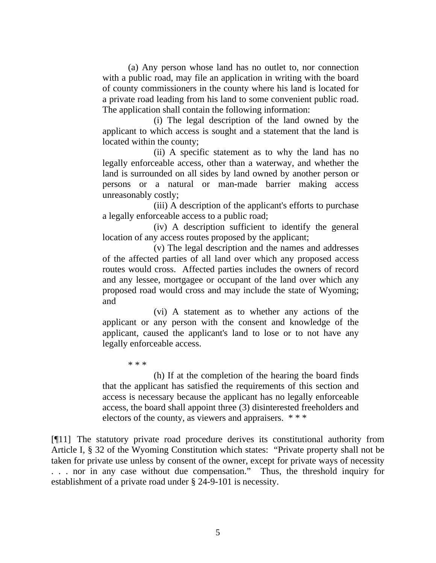(a) Any person whose land has no outlet to, nor connection with a public road, may file an application in writing with the board of county commissioners in the county where his land is located for a private road leading from his land to some convenient public road. The application shall contain the following information:

 (i) The legal description of the land owned by the applicant to which access is sought and a statement that the land is located within the county;

 (ii) A specific statement as to why the land has no legally enforceable access, other than a waterway, and whether the land is surrounded on all sides by land owned by another person or persons or a natural or man-made barrier making access unreasonably costly;

 (iii) A description of the applicant's efforts to purchase a legally enforceable access to a public road;

 (iv) A description sufficient to identify the general location of any access routes proposed by the applicant;

 (v) The legal description and the names and addresses of the affected parties of all land over which any proposed access routes would cross. Affected parties includes the owners of record and any lessee, mortgagee or occupant of the land over which any proposed road would cross and may include the state of Wyoming; and

 (vi) A statement as to whether any actions of the applicant or any person with the consent and knowledge of the applicant, caused the applicant's land to lose or to not have any legally enforceable access.

\* \* \*

 (h) If at the completion of the hearing the board finds that the applicant has satisfied the requirements of this section and access is necessary because the applicant has no legally enforceable access, the board shall appoint three (3) disinterested freeholders and electors of the county, as viewers and appraisers. \* \* \*

[¶11] The statutory private road procedure derives its constitutional authority from Article I, § 32 of the Wyoming Constitution which states: "Private property shall not be taken for private use unless by consent of the owner, except for private ways of necessity . . . nor in any case without due compensation." Thus, the threshold inquiry for establishment of a private road under § 24-9-101 is necessity.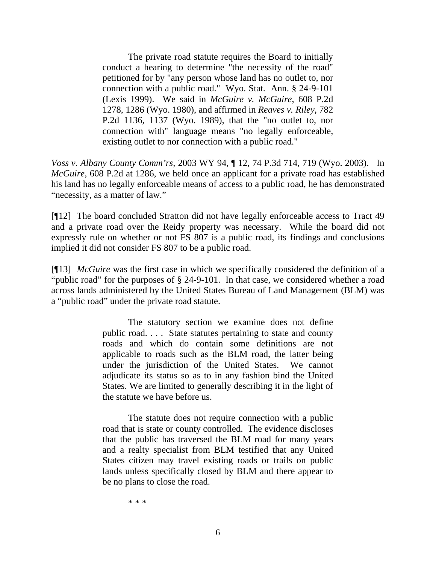The private road statute requires the Board to initially conduct a hearing to determine "the necessity of the road" petitioned for by "any person whose land has no outlet to, nor connection with a public road." Wyo. Stat. Ann. § 24-9-101 (Lexis 1999). We said in *McGuire v. McGuire*, 608 P.2d 1278, 1286 (Wyo. 1980), and affirmed in *Reaves v. Riley*, 782 P.2d 1136, 1137 (Wyo. 1989), that the "no outlet to, nor connection with" language means "no legally enforceable, existing outlet to nor connection with a public road."

*Voss v. Albany County Comm'rs,* 2003 WY 94, ¶ 12, 74 P.3d 714, 719 (Wyo. 2003). In *McGuire*, 608 P.2d at 1286, we held once an applicant for a private road has established his land has no legally enforceable means of access to a public road, he has demonstrated "necessity, as a matter of law."

[¶12] The board concluded Stratton did not have legally enforceable access to Tract 49 and a private road over the Reidy property was necessary. While the board did not expressly rule on whether or not FS 807 is a public road, its findings and conclusions implied it did not consider FS 807 to be a public road.

[¶13] *McGuire* was the first case in which we specifically considered the definition of a "public road" for the purposes of § 24-9-101. In that case*,* we considered whether a road across lands administered by the United States Bureau of Land Management (BLM) was a "public road" under the private road statute.

> The statutory section we examine does not define public road. . . . State statutes pertaining to state and county roads and which do contain some definitions are not applicable to roads such as the BLM road, the latter being under the jurisdiction of the United States. We cannot adjudicate its status so as to in any fashion bind the United States. We are limited to generally describing it in the light of the statute we have before us.

> The statute does not require connection with a public road that is state or county controlled. The evidence discloses that the public has traversed the BLM road for many years and a realty specialist from BLM testified that any United States citizen may travel existing roads or trails on public lands unless specifically closed by BLM and there appear to be no plans to close the road.

> > \* \* \*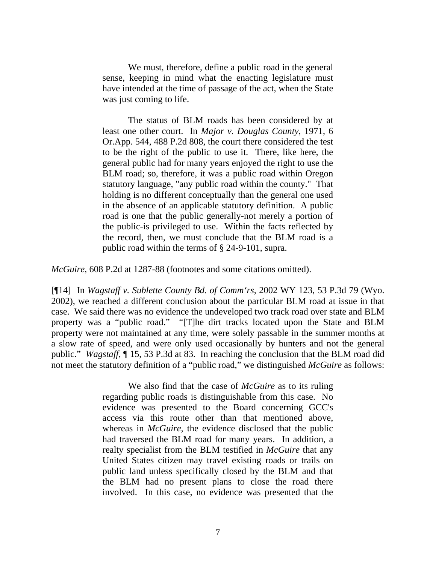We must, therefore, define a public road in the general sense, keeping in mind what the enacting legislature must have intended at the time of passage of the act, when the State was just coming to life.

 The status of BLM roads has been considered by at least one other court. In *Major v. Douglas County*, 1971, 6 Or.App. 544, 488 P.2d 808, the court there considered the test to be the right of the public to use it. There, like here, the general public had for many years enjoyed the right to use the BLM road; so, therefore, it was a public road within Oregon statutory language, "any public road within the county." That holding is no different conceptually than the general one used in the absence of an applicable statutory definition. A public road is one that the public generally-not merely a portion of the public-is privileged to use. Within the facts reflected by the record, then, we must conclude that the BLM road is a public road within the terms of § 24-9-101, supra.

*McGuire*, 608 P.2d at 1287-88 (footnotes and some citations omitted).

[¶14] In *Wagstaff v. Sublette County Bd. of Comm'rs*, 2002 WY 123, 53 P.3d 79 (Wyo. 2002), we reached a different conclusion about the particular BLM road at issue in that case. We said there was no evidence the undeveloped two track road over state and BLM property was a "public road." "[T]he dirt tracks located upon the State and BLM property were not maintained at any time, were solely passable in the summer months at a slow rate of speed, and were only used occasionally by hunters and not the general public." *Wagstaff,* ¶ 15, 53 P.3d at 83. In reaching the conclusion that the BLM road did not meet the statutory definition of a "public road," we distinguished *McGuire* as follows:

> We also find that the case of *McGuire* as to its ruling regarding public roads is distinguishable from this case. No evidence was presented to the Board concerning GCC's access via this route other than that mentioned above, whereas in *McGuire*, the evidence disclosed that the public had traversed the BLM road for many years. In addition, a realty specialist from the BLM testified in *McGuire* that any United States citizen may travel existing roads or trails on public land unless specifically closed by the BLM and that the BLM had no present plans to close the road there involved. In this case, no evidence was presented that the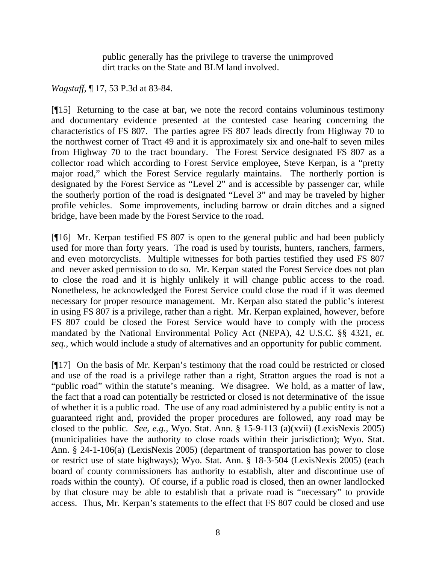public generally has the privilege to traverse the unimproved dirt tracks on the State and BLM land involved.

*Wagstaff,* ¶ 17, 53 P.3d at 83-84.

[¶15] Returning to the case at bar, we note the record contains voluminous testimony and documentary evidence presented at the contested case hearing concerning the characteristics of FS 807. The parties agree FS 807 leads directly from Highway 70 to the northwest corner of Tract 49 and it is approximately six and one-half to seven miles from Highway 70 to the tract boundary. The Forest Service designated FS 807 as a collector road which according to Forest Service employee, Steve Kerpan, is a "pretty major road," which the Forest Service regularly maintains. The northerly portion is designated by the Forest Service as "Level 2" and is accessible by passenger car, while the southerly portion of the road is designated "Level 3" and may be traveled by higher profile vehicles. Some improvements, including barrow or drain ditches and a signed bridge, have been made by the Forest Service to the road.

[¶16] Mr. Kerpan testified FS 807 is open to the general public and had been publicly used for more than forty years. The road is used by tourists, hunters, ranchers, farmers, and even motorcyclists. Multiple witnesses for both parties testified they used FS 807 and never asked permission to do so. Mr. Kerpan stated the Forest Service does not plan to close the road and it is highly unlikely it will change public access to the road. Nonetheless, he acknowledged the Forest Service could close the road if it was deemed necessary for proper resource management. Mr. Kerpan also stated the public's interest in using FS 807 is a privilege, rather than a right. Mr. Kerpan explained, however, before FS 807 could be closed the Forest Service would have to comply with the process mandated by the National Environmental Policy Act (NEPA), 42 U.S.C. §§ 4321, *et. seq.,* which would include a study of alternatives and an opportunity for public comment.

[¶17] On the basis of Mr. Kerpan's testimony that the road could be restricted or closed and use of the road is a privilege rather than a right, Stratton argues the road is not a "public road" within the statute's meaning. We disagree. We hold, as a matter of law, the fact that a road can potentially be restricted or closed is not determinative of the issue of whether it is a public road. The use of any road administered by a public entity is not a guaranteed right and, provided the proper procedures are followed, any road may be closed to the public. *See, e.g.,* Wyo. Stat. Ann. § 15-9-113 (a)(xvii) (LexisNexis 2005) (municipalities have the authority to close roads within their jurisdiction); Wyo. Stat. Ann. § 24-1-106(a) (LexisNexis 2005) (department of transportation has power to close or restrict use of state highways); Wyo. Stat. Ann. § 18-3-504 (LexisNexis 2005) (each board of county commissioners has authority to establish, alter and discontinue use of roads within the county). Of course, if a public road is closed, then an owner landlocked by that closure may be able to establish that a private road is "necessary" to provide access. Thus, Mr. Kerpan's statements to the effect that FS 807 could be closed and use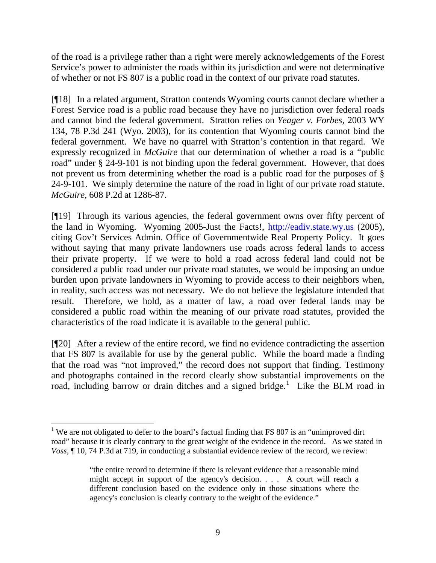of the road is a privilege rather than a right were merely acknowledgements of the Forest Service's power to administer the roads within its jurisdiction and were not determinative of whether or not FS 807 is a public road in the context of our private road statutes.

[¶18] In a related argument, Stratton contends Wyoming courts cannot declare whether a Forest Service road is a public road because they have no jurisdiction over federal roads and cannot bind the federal government. Stratton relies on *Yeager v. Forbes,* 2003 WY 134, 78 P.3d 241 (Wyo. 2003), for its contention that Wyoming courts cannot bind the federal government. We have no quarrel with Stratton's contention in that regard. We expressly recognized in *McGuire* that our determination of whether a road is a "public road" under § 24-9-101 is not binding upon the federal government*.* However, that does not prevent us from determining whether the road is a public road for the purposes of § 24-9-101. We simply determine the nature of the road in light of our private road statute. *McGuire,* 608 P.2d at 1286-87.

[¶19] Through its various agencies, the federal government owns over fifty percent of the land in Wyoming. Wyoming 2005-Just the Facts!, [http://eadiv.state.wy.us](http://eadiv.state.wy.us/) (2005), citing Gov't Services Admin. Office of Governmentwide Real Property Policy. It goes without saying that many private landowners use roads across federal lands to access their private property. If we were to hold a road across federal land could not be considered a public road under our private road statutes, we would be imposing an undue burden upon private landowners in Wyoming to provide access to their neighbors when, in reality, such access was not necessary. We do not believe the legislature intended that result. Therefore, we hold, as a matter of law, a road over federal lands may be considered a public road within the meaning of our private road statutes, provided the characteristics of the road indicate it is available to the general public.

[¶20] After a review of the entire record, we find no evidence contradicting the assertion that FS 807 is available for use by the general public. While the board made a finding that the road was "not improved," the record does not support that finding. Testimony and photographs contained in the record clearly show substantial improvements on the road, including barrow or drain ditches and a signed bridge.<sup>[1](#page-10-0)</sup> Like the BLM road in

<span id="page-10-0"></span><sup>&</sup>lt;sup>1</sup> We are not obligated to defer to the board's factual finding that FS 807 is an "unimproved dirt" road" because it is clearly contrary to the great weight of the evidence in the record. As we stated in *Voss*,  $\P$  10, 74 P.3d at 719, in conducting a substantial evidence review of the record, we review:

<sup>&</sup>quot;the entire record to determine if there is relevant evidence that a reasonable mind might accept in support of the agency's decision. . . . A court will reach a different conclusion based on the evidence only in those situations where the agency's conclusion is clearly contrary to the weight of the evidence."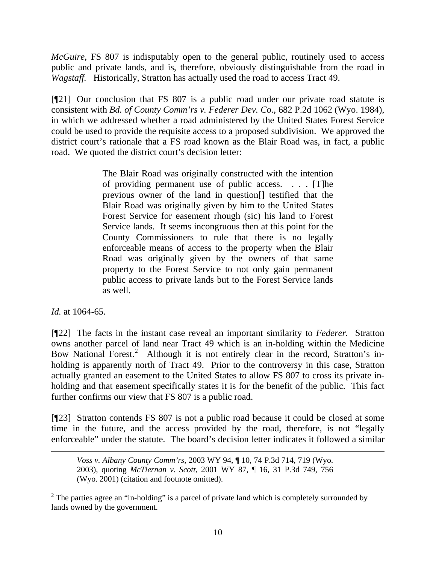*McGuire*, FS 807 is indisputably open to the general public, routinely used to access public and private lands, and is, therefore, obviously distinguishable from the road in *Wagstaff.* Historically, Stratton has actually used the road to access Tract 49.

[¶21] Our conclusion that FS 807 is a public road under our private road statute is consistent with *Bd. of County Comm'rs v. Federer Dev. Co.,* 682 P.2d 1062 (Wyo. 1984), in which we addressed whether a road administered by the United States Forest Service could be used to provide the requisite access to a proposed subdivision. We approved the district court's rationale that a FS road known as the Blair Road was, in fact, a public road. We quoted the district court's decision letter:

> The Blair Road was originally constructed with the intention of providing permanent use of public access. . . . [T]he previous owner of the land in question[] testified that the Blair Road was originally given by him to the United States Forest Service for easement rhough (sic) his land to Forest Service lands. It seems incongruous then at this point for the County Commissioners to rule that there is no legally enforceable means of access to the property when the Blair Road was originally given by the owners of that same property to the Forest Service to not only gain permanent public access to private lands but to the Forest Service lands as well.

*Id.* at 1064-65.

[¶22] The facts in the instant case reveal an important similarity to *Federer.* Stratton owns another parcel of land near Tract 49 which is an in-holding within the Medicine Bow National Forest.<sup>[2](#page-11-0)</sup> Although it is not entirely clear in the record, Stratton's inholding is apparently north of Tract 49. Prior to the controversy in this case, Stratton actually granted an easement to the United States to allow FS 807 to cross its private inholding and that easement specifically states it is for the benefit of the public. This fact further confirms our view that FS 807 is a public road.

[¶23] Stratton contends FS 807 is not a public road because it could be closed at some time in the future, and the access provided by the road, therefore, is not "legally enforceable" under the statute. The board's decision letter indicates it followed a similar

*Voss v. Albany County Comm'rs,* 2003 WY 94, ¶ 10, 74 P.3d 714, 719 (Wyo. 2003), quoting *McTiernan v. Scott,* 2001 WY 87, ¶ 16, 31 P.3d 749, 756 (Wyo. 2001) (citation and footnote omitted).

<span id="page-11-0"></span><sup>2</sup> The parties agree an "in-holding" is a parcel of private land which is completely surrounded by lands owned by the government.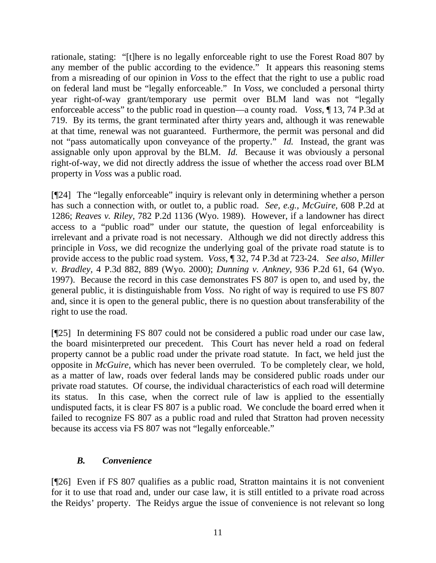rationale, stating: "[t]here is no legally enforceable right to use the Forest Road 807 by any member of the public according to the evidence." It appears this reasoning stems from a misreading of our opinion in *Voss* to the effect that the right to use a public road on federal land must be "legally enforceable." In *Voss,* we concluded a personal thirty year right-of-way grant/temporary use permit over BLM land was not "legally enforceable access" to the public road in question—a county road. *Voss*, ¶ 13, 74 P.3d at 719. By its terms, the grant terminated after thirty years and, although it was renewable at that time, renewal was not guaranteed. Furthermore, the permit was personal and did not "pass automatically upon conveyance of the property." *Id.* Instead, the grant was assignable only upon approval by the BLM. *Id.* Because it was obviously a personal right-of-way, we did not directly address the issue of whether the access road over BLM property in *Voss* was a public road.

[¶24] The "legally enforceable" inquiry is relevant only in determining whether a person has such a connection with, or outlet to, a public road. *See, e.g., McGuire,* 608 P.2d at 1286; *Reaves v. Riley,* 782 P.2d 1136 (Wyo. 1989). However, if a landowner has direct access to a "public road" under our statute, the question of legal enforceability is irrelevant and a private road is not necessary. Although we did not directly address this principle in *Voss*, we did recognize the underlying goal of the private road statute is to provide access to the public road system. *Voss*, ¶ 32, 74 P.3d at 723-24. *See also*, *Miller v. Bradley,* 4 P.3d 882, 889 (Wyo. 2000); *Dunning v. Ankney,* 936 P.2d 61, 64 (Wyo. 1997). Because the record in this case demonstrates FS 807 is open to, and used by, the general public, it is distinguishable from *Voss*. No right of way is required to use FS 807 and, since it is open to the general public, there is no question about transferability of the right to use the road.

[¶25] In determining FS 807 could not be considered a public road under our case law, the board misinterpreted our precedent. This Court has never held a road on federal property cannot be a public road under the private road statute. In fact, we held just the opposite in *McGuire,* which has never been overruled. To be completely clear, we hold, as a matter of law, roads over federal lands may be considered public roads under our private road statutes. Of course, the individual characteristics of each road will determine its status. In this case, when the correct rule of law is applied to the essentially undisputed facts, it is clear FS 807 is a public road. We conclude the board erred when it failed to recognize FS 807 as a public road and ruled that Stratton had proven necessity because its access via FS 807 was not "legally enforceable."

## *B. Convenience*

[¶26] Even if FS 807 qualifies as a public road, Stratton maintains it is not convenient for it to use that road and, under our case law, it is still entitled to a private road across the Reidys' property. The Reidys argue the issue of convenience is not relevant so long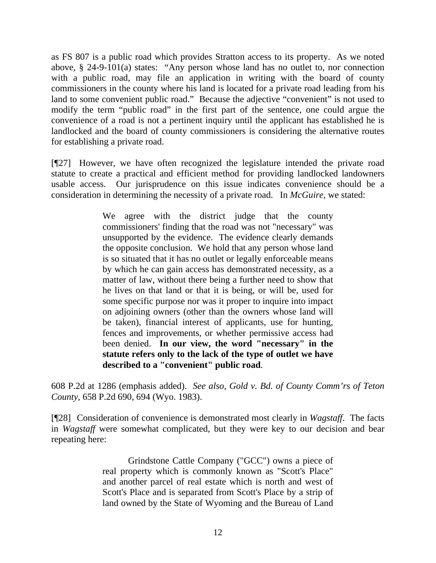as FS 807 is a public road which provides Stratton access to its property. As we noted above*,* § 24-9-101(a) states: "Any person whose land has no outlet to, nor connection with a public road, may file an application in writing with the board of county commissioners in the county where his land is located for a private road leading from his land to some convenient public road." Because the adjective "convenient" is not used to modify the term "public road" in the first part of the sentence, one could argue the convenience of a road is not a pertinent inquiry until the applicant has established he is landlocked and the board of county commissioners is considering the alternative routes for establishing a private road.

[¶27] However, we have often recognized the legislature intended the private road statute to create a practical and efficient method for providing landlocked landowners usable access. Our jurisprudence on this issue indicates convenience should be a consideration in determining the necessity of a private road. In *McGuire,* we stated:

> We agree with the district judge that the county commissioners' finding that the road was not "necessary" was unsupported by the evidence. The evidence clearly demands the opposite conclusion. We hold that any person whose land is so situated that it has no outlet or legally enforceable means by which he can gain access has demonstrated necessity, as a matter of law, without there being a further need to show that he lives on that land or that it is being, or will be, used for some specific purpose nor was it proper to inquire into impact on adjoining owners (other than the owners whose land will be taken), financial interest of applicants, use for hunting, fences and improvements, or whether permissive access had been denied. **In our view, the word "necessary" in the statute refers only to the lack of the type of outlet we have described to a "convenient" public road**.

608 P.2d at 1286 (emphasis added). *See also*, *Gold v. Bd. of County Comm'rs of Teton County,* 658 P.2d 690, 694 (Wyo. 1983).

[¶28] Consideration of convenience is demonstrated most clearly in *Wagstaff*. The facts in *Wagstaff* were somewhat complicated, but they were key to our decision and bear repeating here:

> Grindstone Cattle Company ("GCC") owns a piece of real property which is commonly known as "Scott's Place" and another parcel of real estate which is north and west of Scott's Place and is separated from Scott's Place by a strip of land owned by the State of Wyoming and the Bureau of Land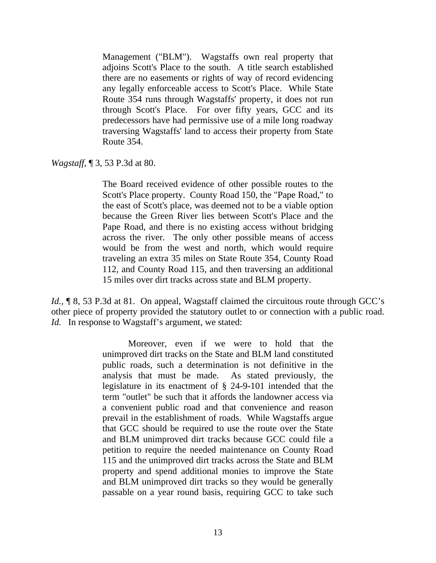Management ("BLM"). Wagstaffs own real property that adjoins Scott's Place to the south. A title search established there are no easements or rights of way of record evidencing any legally enforceable access to Scott's Place. While State Route 354 runs through Wagstaffs' property, it does not run through Scott's Place. For over fifty years, GCC and its predecessors have had permissive use of a mile long roadway traversing Wagstaffs' land to access their property from State Route 354.

*Wagstaff,* ¶ 3, 53 P.3d at 80.

The Board received evidence of other possible routes to the Scott's Place property. County Road 150, the "Pape Road," to the east of Scott's place, was deemed not to be a viable option because the Green River lies between Scott's Place and the Pape Road, and there is no existing access without bridging across the river. The only other possible means of access would be from the west and north, which would require traveling an extra 35 miles on State Route 354, County Road 112, and County Road 115, and then traversing an additional 15 miles over dirt tracks across state and BLM property.

*Id.*, **[8, 53 P.3d at 81.** On appeal, Wagstaff claimed the circuitous route through GCC's other piece of property provided the statutory outlet to or connection with a public road. *Id.* In response to Wagstaff's argument, we stated:

> Moreover, even if we were to hold that the unimproved dirt tracks on the State and BLM land constituted public roads, such a determination is not definitive in the analysis that must be made. As stated previously, the legislature in its enactment of § 24-9-101 intended that the term "outlet" be such that it affords the landowner access via a convenient public road and that convenience and reason prevail in the establishment of roads. While Wagstaffs argue that GCC should be required to use the route over the State and BLM unimproved dirt tracks because GCC could file a petition to require the needed maintenance on County Road 115 and the unimproved dirt tracks across the State and BLM property and spend additional monies to improve the State and BLM unimproved dirt tracks so they would be generally passable on a year round basis, requiring GCC to take such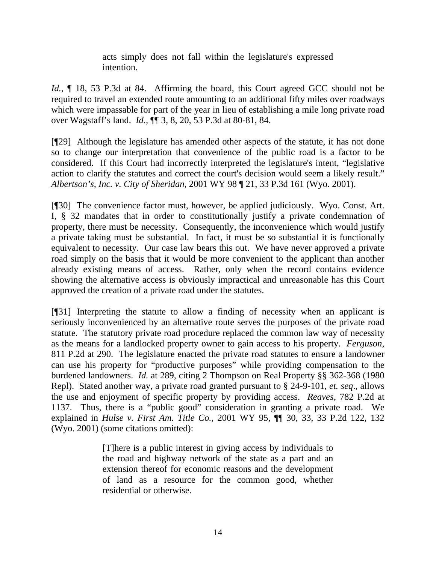acts simply does not fall within the legislature's expressed intention.

*Id.,* ¶ 18, 53 P.3d at 84. Affirming the board, this Court agreed GCC should not be required to travel an extended route amounting to an additional fifty miles over roadways which were impassable for part of the year in lieu of establishing a mile long private road over Wagstaff's land. *Id.,* ¶¶ 3, 8, 20, 53 P.3d at 80-81, 84.

[¶29] Although the legislature has amended other aspects of the statute, it has not done so to change our interpretation that convenience of the public road is a factor to be considered. If this Court had incorrectly interpreted the legislature's intent, "legislative action to clarify the statutes and correct the court's decision would seem a likely result." *Albertson's, Inc. v. City of Sheridan,* 2001 WY 98 ¶ 21, 33 P.3d 161 (Wyo. 2001).

[¶30] The convenience factor must, however, be applied judiciously. Wyo. Const. Art. I, § 32 mandates that in order to constitutionally justify a private condemnation of property, there must be necessity. Consequently, the inconvenience which would justify a private taking must be substantial. In fact, it must be so substantial it is functionally equivalent to necessity. Our case law bears this out. We have never approved a private road simply on the basis that it would be more convenient to the applicant than another already existing means of access. Rather, only when the record contains evidence showing the alternative access is obviously impractical and unreasonable has this Court approved the creation of a private road under the statutes.

[¶31] Interpreting the statute to allow a finding of necessity when an applicant is seriously inconvenienced by an alternative route serves the purposes of the private road statute. The statutory private road procedure replaced the common law way of necessity as the means for a landlocked property owner to gain access to his property. *Ferguson,*  811 P.2d at 290. The legislature enacted the private road statutes to ensure a landowner can use his property for "productive purposes" while providing compensation to the burdened landowners. *Id.* at 289, citing 2 Thompson on Real Property §§ 362-368 (1980 Repl). Stated another way, a private road granted pursuant to § 24-9-101, *et. seq*., allows the use and enjoyment of specific property by providing access. *Reaves,* 782 P.2d at 1137. Thus, there is a "public good" consideration in granting a private road. We explained in *Hulse v. First Am. Title Co.,* 2001 WY 95, ¶¶ 30, 33, 33 P.2d 122, 132 (Wyo. 2001) (some citations omitted):

> [T]here is a public interest in giving access by individuals to the road and highway network of the state as a part and an extension thereof for economic reasons and the development of land as a resource for the common good, whether residential or otherwise.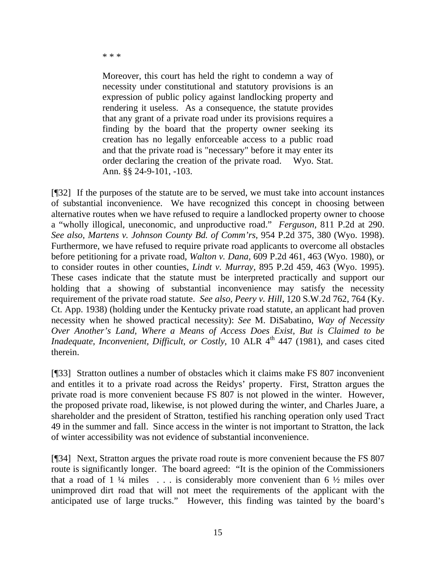\* \* \*

Moreover, this court has held the right to condemn a way of necessity under constitutional and statutory provisions is an expression of public policy against landlocking property and rendering it useless. As a consequence, the statute provides that any grant of a private road under its provisions requires a finding by the board that the property owner seeking its creation has no legally enforceable access to a public road and that the private road is "necessary" before it may enter its order declaring the creation of the private road. Wyo. Stat. Ann. §§ 24-9-101, -103.

[¶32] If the purposes of the statute are to be served, we must take into account instances of substantial inconvenience. We have recognized this concept in choosing between alternative routes when we have refused to require a landlocked property owner to choose a "wholly illogical, uneconomic, and unproductive road." *Ferguson,* 811 P.2d at 290. *See also*, *Martens v. Johnson County Bd. of Comm'rs,* 954 P.2d 375, 380 (Wyo. 1998). Furthermore, we have refused to require private road applicants to overcome all obstacles before petitioning for a private road, *Walton v. Dana,* 609 P.2d 461, 463 (Wyo. 1980), or to consider routes in other counties, *Lindt v. Murray,* 895 P.2d 459, 463 (Wyo. 1995). These cases indicate that the statute must be interpreted practically and support our holding that a showing of substantial inconvenience may satisfy the necessity requirement of the private road statute. *See also*, *Peery v. Hill,* 120 S.W.2d 762, 764 (Ky. Ct. App. 1938) (holding under the Kentucky private road statute, an applicant had proven necessity when he showed practical necessity): *See* M. DiSabatino, *Way of Necessity Over Another's Land, Where a Means of Access Does Exist, But is Claimed to be Inadequate, Inconvenient, Difficult, or Costly, 10 ALR 4<sup>th</sup> 447 (1981), and cases cited* therein.

[¶33] Stratton outlines a number of obstacles which it claims make FS 807 inconvenient and entitles it to a private road across the Reidys' property. First, Stratton argues the private road is more convenient because FS 807 is not plowed in the winter. However, the proposed private road, likewise, is not plowed during the winter, and Charles Juare, a shareholder and the president of Stratton, testified his ranching operation only used Tract 49 in the summer and fall. Since access in the winter is not important to Stratton, the lack of winter accessibility was not evidence of substantial inconvenience.

[¶34] Next, Stratton argues the private road route is more convenient because the FS 807 route is significantly longer. The board agreed: "It is the opinion of the Commissioners that a road of  $1\frac{1}{4}$  miles ... is considerably more convenient than 6  $\frac{1}{2}$  miles over unimproved dirt road that will not meet the requirements of the applicant with the anticipated use of large trucks." However, this finding was tainted by the board's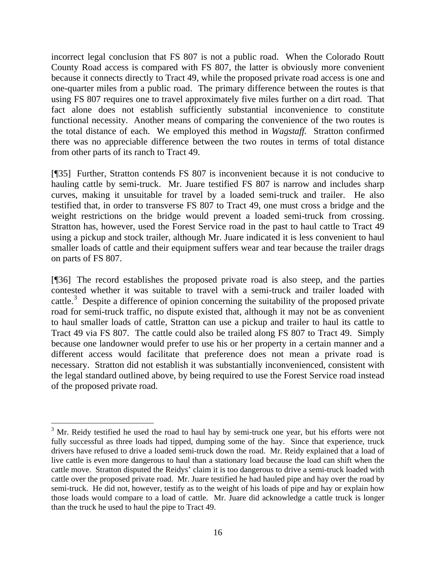incorrect legal conclusion that FS 807 is not a public road. When the Colorado Routt County Road access is compared with FS 807, the latter is obviously more convenient because it connects directly to Tract 49, while the proposed private road access is one and one-quarter miles from a public road. The primary difference between the routes is that using FS 807 requires one to travel approximately five miles further on a dirt road. That fact alone does not establish sufficiently substantial inconvenience to constitute functional necessity. Another means of comparing the convenience of the two routes is the total distance of each. We employed this method in *Wagstaff.* Stratton confirmed there was no appreciable difference between the two routes in terms of total distance from other parts of its ranch to Tract 49.

[¶35] Further, Stratton contends FS 807 is inconvenient because it is not conducive to hauling cattle by semi-truck. Mr. Juare testified FS 807 is narrow and includes sharp curves, making it unsuitable for travel by a loaded semi-truck and trailer. He also testified that, in order to transverse FS 807 to Tract 49, one must cross a bridge and the weight restrictions on the bridge would prevent a loaded semi-truck from crossing. Stratton has, however, used the Forest Service road in the past to haul cattle to Tract 49 using a pickup and stock trailer, although Mr. Juare indicated it is less convenient to haul smaller loads of cattle and their equipment suffers wear and tear because the trailer drags on parts of FS 807.

[¶36] The record establishes the proposed private road is also steep, and the parties contested whether it was suitable to travel with a semi-truck and trailer loaded with cattle.<sup>[3](#page-17-0)</sup> Despite a difference of opinion concerning the suitability of the proposed private road for semi-truck traffic, no dispute existed that, although it may not be as convenient to haul smaller loads of cattle, Stratton can use a pickup and trailer to haul its cattle to Tract 49 via FS 807. The cattle could also be trailed along FS 807 to Tract 49. Simply because one landowner would prefer to use his or her property in a certain manner and a different access would facilitate that preference does not mean a private road is necessary. Stratton did not establish it was substantially inconvenienced, consistent with the legal standard outlined above, by being required to use the Forest Service road instead of the proposed private road.

<span id="page-17-0"></span><sup>&</sup>lt;sup>3</sup> Mr. Reidy testified he used the road to haul hay by semi-truck one year, but his efforts were not fully successful as three loads had tipped, dumping some of the hay. Since that experience, truck drivers have refused to drive a loaded semi-truck down the road. Mr. Reidy explained that a load of live cattle is even more dangerous to haul than a stationary load because the load can shift when the cattle move. Stratton disputed the Reidys' claim it is too dangerous to drive a semi-truck loaded with cattle over the proposed private road. Mr. Juare testified he had hauled pipe and hay over the road by semi-truck. He did not, however, testify as to the weight of his loads of pipe and hay or explain how those loads would compare to a load of cattle. Mr. Juare did acknowledge a cattle truck is longer than the truck he used to haul the pipe to Tract 49.